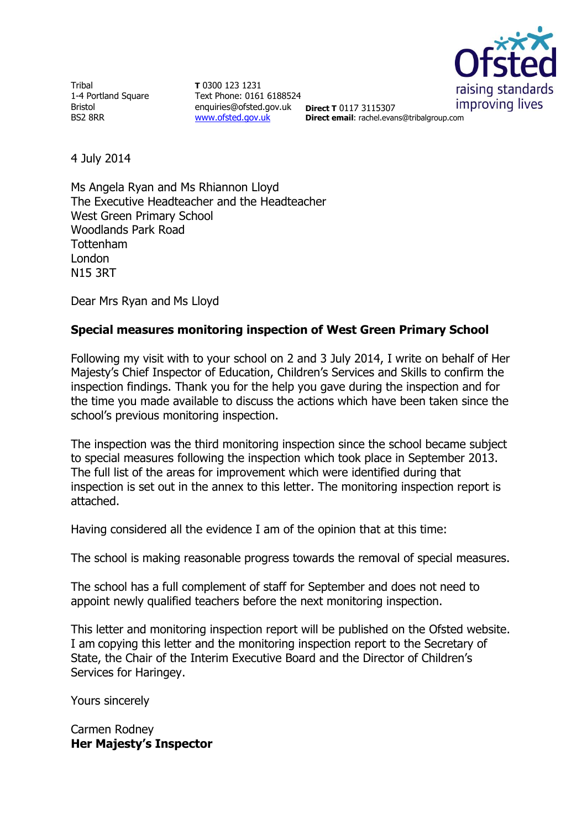

**Tribal** 1-4 Portland Square Bristol BS2 8RR

**T** 0300 123 1231 Text Phone: 0161 6188524 enquiries@ofsted.gov.uk **Direct T** 0117 3115307 [www.ofsted.gov.uk](http://www.ofsted.gov.uk/)

**Direct email**: rachel.evans@tribalgroup.com

4 July 2014

Ms Angela Ryan and Ms Rhiannon Lloyd The Executive Headteacher and the Headteacher West Green Primary School Woodlands Park Road Tottenham London N15 3RT

Dear Mrs Ryan and Ms Lloyd

## **Special measures monitoring inspection of West Green Primary School**

Following my visit with to your school on 2 and 3 July 2014, I write on behalf of Her Majesty's Chief Inspector of Education, Children's Services and Skills to confirm the inspection findings. Thank you for the help you gave during the inspection and for the time you made available to discuss the actions which have been taken since the school's previous monitoring inspection.

The inspection was the third monitoring inspection since the school became subject to special measures following the inspection which took place in September 2013. The full list of the areas for improvement which were identified during that inspection is set out in the annex to this letter. The monitoring inspection report is attached.

Having considered all the evidence I am of the opinion that at this time:

The school is making reasonable progress towards the removal of special measures.

The school has a full complement of staff for September and does not need to appoint newly qualified teachers before the next monitoring inspection.

This letter and monitoring inspection report will be published on the Ofsted website. I am copying this letter and the monitoring inspection report to the Secretary of State, the Chair of the Interim Executive Board and the Director of Children's Services for Haringey.

Yours sincerely

Carmen Rodney **Her Majesty's Inspector**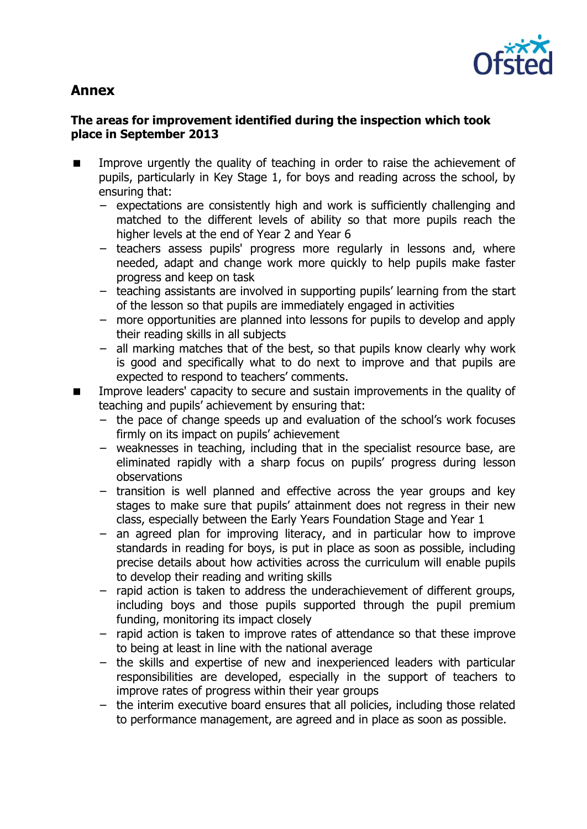

# **Annex**

## **The areas for improvement identified during the inspection which took place in September 2013**

- **IMPROVE** Improve urgently the quality of teaching in order to raise the achievement of pupils, particularly in Key Stage 1, for boys and reading across the school, by ensuring that:
	- − expectations are consistently high and work is sufficiently challenging and matched to the different levels of ability so that more pupils reach the higher levels at the end of Year 2 and Year 6
	- − teachers assess pupils' progress more regularly in lessons and, where needed, adapt and change work more quickly to help pupils make faster progress and keep on task
	- − teaching assistants are involved in supporting pupils' learning from the start of the lesson so that pupils are immediately engaged in activities
	- − more opportunities are planned into lessons for pupils to develop and apply their reading skills in all subjects
	- − all marking matches that of the best, so that pupils know clearly why work is good and specifically what to do next to improve and that pupils are expected to respond to teachers' comments.
- **IMPROVE LEADERS** Capacity to secure and sustain improvements in the quality of teaching and pupils' achievement by ensuring that:
	- − the pace of change speeds up and evaluation of the school's work focuses firmly on its impact on pupils' achievement
	- − weaknesses in teaching, including that in the specialist resource base, are eliminated rapidly with a sharp focus on pupils' progress during lesson observations
	- − transition is well planned and effective across the year groups and key stages to make sure that pupils' attainment does not regress in their new class, especially between the Early Years Foundation Stage and Year 1
	- − an agreed plan for improving literacy, and in particular how to improve standards in reading for boys, is put in place as soon as possible, including precise details about how activities across the curriculum will enable pupils to develop their reading and writing skills
	- − rapid action is taken to address the underachievement of different groups, including boys and those pupils supported through the pupil premium funding, monitoring its impact closely
	- − rapid action is taken to improve rates of attendance so that these improve to being at least in line with the national average
	- − the skills and expertise of new and inexperienced leaders with particular responsibilities are developed, especially in the support of teachers to improve rates of progress within their year groups
	- − the interim executive board ensures that all policies, including those related to performance management, are agreed and in place as soon as possible.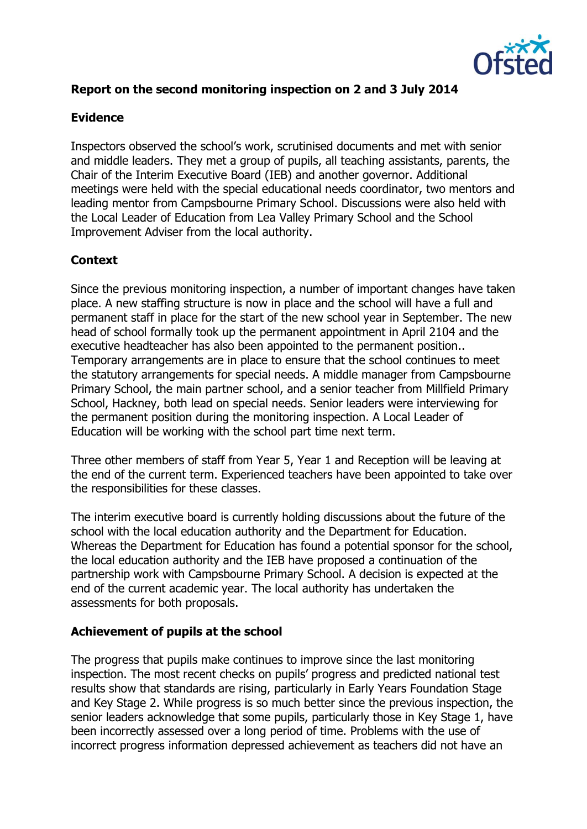

# **Report on the second monitoring inspection on 2 and 3 July 2014**

#### **Evidence**

Inspectors observed the school's work, scrutinised documents and met with senior and middle leaders. They met a group of pupils, all teaching assistants, parents, the Chair of the Interim Executive Board (IEB) and another governor. Additional meetings were held with the special educational needs coordinator, two mentors and leading mentor from Campsbourne Primary School. Discussions were also held with the Local Leader of Education from Lea Valley Primary School and the School Improvement Adviser from the local authority.

#### **Context**

Since the previous monitoring inspection, a number of important changes have taken place. A new staffing structure is now in place and the school will have a full and permanent staff in place for the start of the new school year in September. The new head of school formally took up the permanent appointment in April 2104 and the executive headteacher has also been appointed to the permanent position.. Temporary arrangements are in place to ensure that the school continues to meet the statutory arrangements for special needs. A middle manager from Campsbourne Primary School, the main partner school, and a senior teacher from Millfield Primary School, Hackney, both lead on special needs. Senior leaders were interviewing for the permanent position during the monitoring inspection. A Local Leader of Education will be working with the school part time next term.

Three other members of staff from Year 5, Year 1 and Reception will be leaving at the end of the current term. Experienced teachers have been appointed to take over the responsibilities for these classes.

The interim executive board is currently holding discussions about the future of the school with the local education authority and the Department for Education. Whereas the Department for Education has found a potential sponsor for the school, the local education authority and the IEB have proposed a continuation of the partnership work with Campsbourne Primary School. A decision is expected at the end of the current academic year. The local authority has undertaken the assessments for both proposals.

#### **Achievement of pupils at the school**

The progress that pupils make continues to improve since the last monitoring inspection. The most recent checks on pupils' progress and predicted national test results show that standards are rising, particularly in Early Years Foundation Stage and Key Stage 2. While progress is so much better since the previous inspection, the senior leaders acknowledge that some pupils, particularly those in Key Stage 1, have been incorrectly assessed over a long period of time. Problems with the use of incorrect progress information depressed achievement as teachers did not have an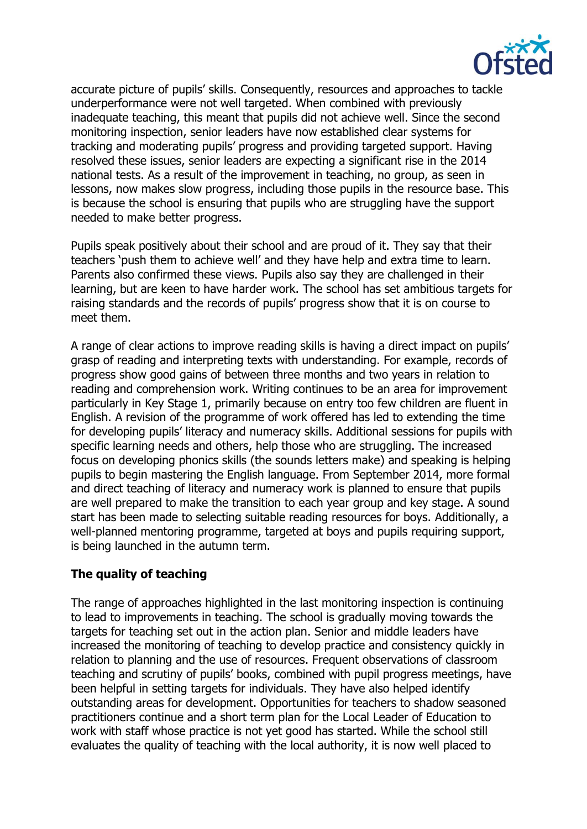

accurate picture of pupils' skills. Consequently, resources and approaches to tackle underperformance were not well targeted. When combined with previously inadequate teaching, this meant that pupils did not achieve well. Since the second monitoring inspection, senior leaders have now established clear systems for tracking and moderating pupils' progress and providing targeted support. Having resolved these issues, senior leaders are expecting a significant rise in the 2014 national tests. As a result of the improvement in teaching, no group, as seen in lessons, now makes slow progress, including those pupils in the resource base. This is because the school is ensuring that pupils who are struggling have the support needed to make better progress.

Pupils speak positively about their school and are proud of it. They say that their teachers 'push them to achieve well' and they have help and extra time to learn. Parents also confirmed these views. Pupils also say they are challenged in their learning, but are keen to have harder work. The school has set ambitious targets for raising standards and the records of pupils' progress show that it is on course to meet them.

A range of clear actions to improve reading skills is having a direct impact on pupils' grasp of reading and interpreting texts with understanding. For example, records of progress show good gains of between three months and two years in relation to reading and comprehension work. Writing continues to be an area for improvement particularly in Key Stage 1, primarily because on entry too few children are fluent in English. A revision of the programme of work offered has led to extending the time for developing pupils' literacy and numeracy skills. Additional sessions for pupils with specific learning needs and others, help those who are struggling. The increased focus on developing phonics skills (the sounds letters make) and speaking is helping pupils to begin mastering the English language. From September 2014, more formal and direct teaching of literacy and numeracy work is planned to ensure that pupils are well prepared to make the transition to each year group and key stage. A sound start has been made to selecting suitable reading resources for boys. Additionally, a well-planned mentoring programme, targeted at boys and pupils requiring support, is being launched in the autumn term.

#### **The quality of teaching**

The range of approaches highlighted in the last monitoring inspection is continuing to lead to improvements in teaching. The school is gradually moving towards the targets for teaching set out in the action plan. Senior and middle leaders have increased the monitoring of teaching to develop practice and consistency quickly in relation to planning and the use of resources. Frequent observations of classroom teaching and scrutiny of pupils' books, combined with pupil progress meetings, have been helpful in setting targets for individuals. They have also helped identify outstanding areas for development. Opportunities for teachers to shadow seasoned practitioners continue and a short term plan for the Local Leader of Education to work with staff whose practice is not yet good has started. While the school still evaluates the quality of teaching with the local authority, it is now well placed to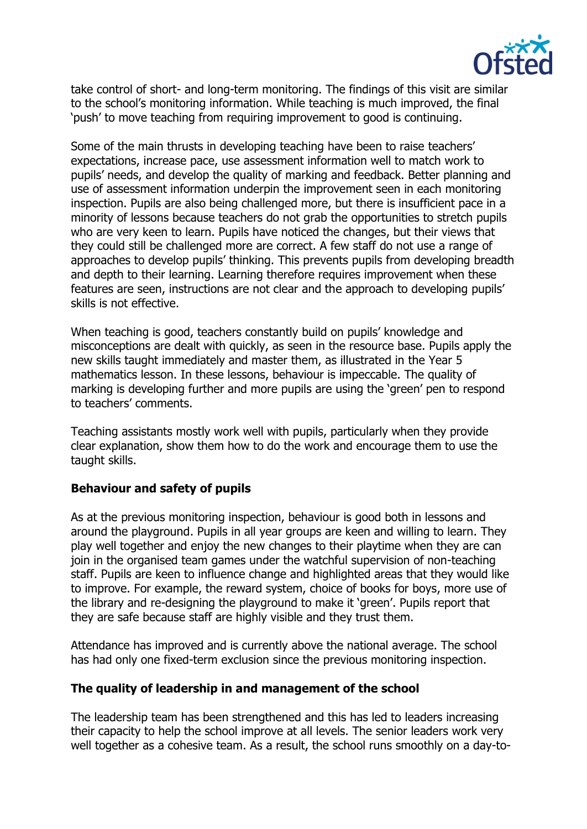

take control of short- and long-term monitoring. The findings of this visit are similar to the school's monitoring information. While teaching is much improved, the final 'push' to move teaching from requiring improvement to good is continuing.

Some of the main thrusts in developing teaching have been to raise teachers' expectations, increase pace, use assessment information well to match work to pupils' needs, and develop the quality of marking and feedback. Better planning and use of assessment information underpin the improvement seen in each monitoring inspection. Pupils are also being challenged more, but there is insufficient pace in a minority of lessons because teachers do not grab the opportunities to stretch pupils who are very keen to learn. Pupils have noticed the changes, but their views that they could still be challenged more are correct. A few staff do not use a range of approaches to develop pupils' thinking. This prevents pupils from developing breadth and depth to their learning. Learning therefore requires improvement when these features are seen, instructions are not clear and the approach to developing pupils' skills is not effective.

When teaching is good, teachers constantly build on pupils' knowledge and misconceptions are dealt with quickly, as seen in the resource base. Pupils apply the new skills taught immediately and master them, as illustrated in the Year 5 mathematics lesson. In these lessons, behaviour is impeccable. The quality of marking is developing further and more pupils are using the 'green' pen to respond to teachers' comments.

Teaching assistants mostly work well with pupils, particularly when they provide clear explanation, show them how to do the work and encourage them to use the taught skills.

#### **Behaviour and safety of pupils**

As at the previous monitoring inspection, behaviour is good both in lessons and around the playground. Pupils in all year groups are keen and willing to learn. They play well together and enjoy the new changes to their playtime when they are can join in the organised team games under the watchful supervision of non-teaching staff. Pupils are keen to influence change and highlighted areas that they would like to improve. For example, the reward system, choice of books for boys, more use of the library and re-designing the playground to make it 'green'. Pupils report that they are safe because staff are highly visible and they trust them.

Attendance has improved and is currently above the national average. The school has had only one fixed-term exclusion since the previous monitoring inspection.

#### **The quality of leadership in and management of the school**

The leadership team has been strengthened and this has led to leaders increasing their capacity to help the school improve at all levels. The senior leaders work very well together as a cohesive team. As a result, the school runs smoothly on a day-to-